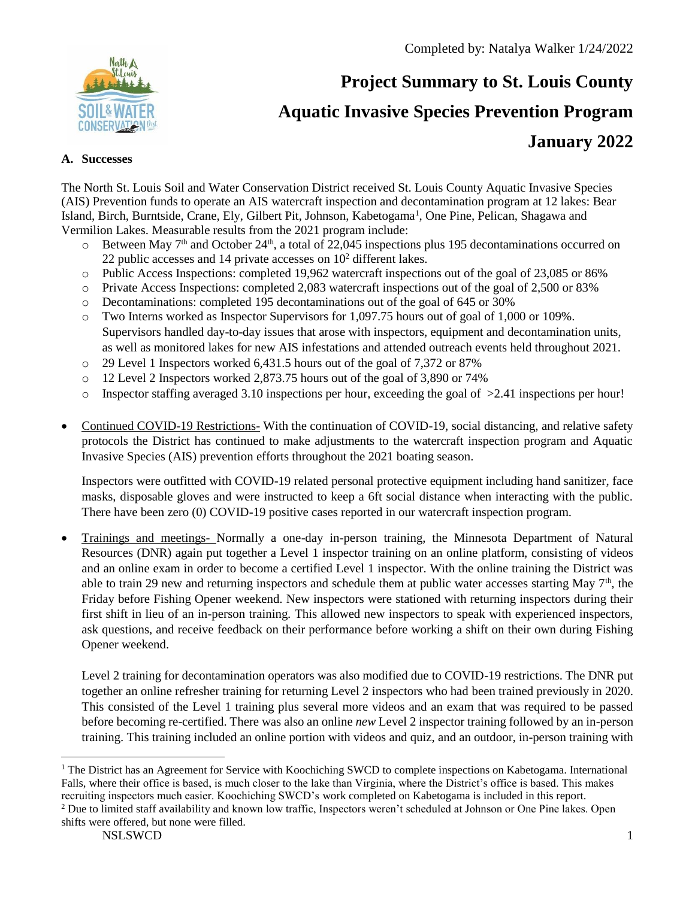

# **Project Summary to St. Louis County Aquatic Invasive Species Prevention Program January 2022**

# **A. Successes**

The North St. Louis Soil and Water Conservation District received St. Louis County Aquatic Invasive Species (AIS) Prevention funds to operate an AIS watercraft inspection and decontamination program at 12 lakes: Bear Island, Birch, Burntside, Crane, Ely, Gilbert Pit, Johnson, Kabetogama<sup>1</sup>, One Pine, Pelican, Shagawa and Vermilion Lakes. Measurable results from the 2021 program include:

- $\circ$  Between May 7<sup>th</sup> and October 24<sup>th</sup>, a total of 22,045 inspections plus 195 decontaminations occurred on 22 public accesses and 14 private accesses on  $10<sup>2</sup>$  different lakes.
- o Public Access Inspections: completed 19,962 watercraft inspections out of the goal of 23,085 or 86%
- o Private Access Inspections: completed 2,083 watercraft inspections out of the goal of 2,500 or 83%
- o Decontaminations: completed 195 decontaminations out of the goal of 645 or 30%
- o Two Interns worked as Inspector Supervisors for 1,097.75 hours out of goal of 1,000 or 109%. Supervisors handled day-to-day issues that arose with inspectors, equipment and decontamination units, as well as monitored lakes for new AIS infestations and attended outreach events held throughout 2021.
- o 29 Level 1 Inspectors worked 6,431.5 hours out of the goal of 7,372 or 87%
- o 12 Level 2 Inspectors worked 2,873.75 hours out of the goal of 3,890 or 74%
- $\circ$  Inspector staffing averaged 3.10 inspections per hour, exceeding the goal of  $>2.41$  inspections per hour!
- Continued COVID-19 Restrictions- With the continuation of COVID-19, social distancing, and relative safety protocols the District has continued to make adjustments to the watercraft inspection program and Aquatic Invasive Species (AIS) prevention efforts throughout the 2021 boating season.

Inspectors were outfitted with COVID-19 related personal protective equipment including hand sanitizer, face masks, disposable gloves and were instructed to keep a 6ft social distance when interacting with the public. There have been zero (0) COVID-19 positive cases reported in our watercraft inspection program.

 Trainings and meetings- Normally a one-day in-person training, the Minnesota Department of Natural Resources (DNR) again put together a Level 1 inspector training on an online platform, consisting of videos and an online exam in order to become a certified Level 1 inspector. With the online training the District was able to train 29 new and returning inspectors and schedule them at public water accesses starting May  $7<sup>th</sup>$ , the Friday before Fishing Opener weekend. New inspectors were stationed with returning inspectors during their first shift in lieu of an in-person training. This allowed new inspectors to speak with experienced inspectors, ask questions, and receive feedback on their performance before working a shift on their own during Fishing Opener weekend.

Level 2 training for decontamination operators was also modified due to COVID-19 restrictions. The DNR put together an online refresher training for returning Level 2 inspectors who had been trained previously in 2020. This consisted of the Level 1 training plus several more videos and an exam that was required to be passed before becoming re-certified. There was also an online *new* Level 2 inspector training followed by an in-person training. This training included an online portion with videos and quiz, and an outdoor, in-person training with

 $\overline{\phantom{a}}$ <sup>1</sup> The District has an Agreement for Service with Koochiching SWCD to complete inspections on Kabetogama. International Falls, where their office is based, is much closer to the lake than Virginia, where the District's office is based. This makes recruiting inspectors much easier. Koochiching SWCD's work completed on Kabetogama is included in this report.

<sup>&</sup>lt;sup>2</sup> Due to limited staff availability and known low traffic, Inspectors weren't scheduled at Johnson or One Pine lakes. Open shifts were offered, but none were filled.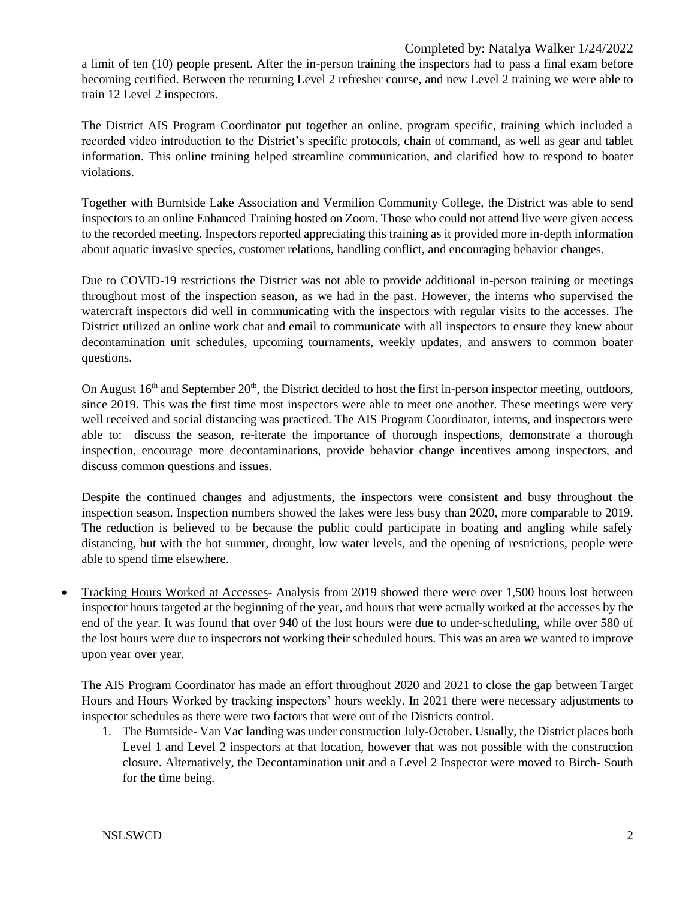a limit of ten (10) people present. After the in-person training the inspectors had to pass a final exam before becoming certified. Between the returning Level 2 refresher course, and new Level 2 training we were able to train 12 Level 2 inspectors.

The District AIS Program Coordinator put together an online, program specific, training which included a recorded video introduction to the District's specific protocols, chain of command, as well as gear and tablet information. This online training helped streamline communication, and clarified how to respond to boater violations.

Together with Burntside Lake Association and Vermilion Community College, the District was able to send inspectors to an online Enhanced Training hosted on Zoom. Those who could not attend live were given access to the recorded meeting. Inspectors reported appreciating this training as it provided more in-depth information about aquatic invasive species, customer relations, handling conflict, and encouraging behavior changes.

Due to COVID-19 restrictions the District was not able to provide additional in-person training or meetings throughout most of the inspection season, as we had in the past. However, the interns who supervised the watercraft inspectors did well in communicating with the inspectors with regular visits to the accesses. The District utilized an online work chat and email to communicate with all inspectors to ensure they knew about decontamination unit schedules, upcoming tournaments, weekly updates, and answers to common boater questions.

On August  $16<sup>th</sup>$  and September  $20<sup>th</sup>$ , the District decided to host the first in-person inspector meeting, outdoors, since 2019. This was the first time most inspectors were able to meet one another. These meetings were very well received and social distancing was practiced. The AIS Program Coordinator, interns, and inspectors were able to: discuss the season, re-iterate the importance of thorough inspections, demonstrate a thorough inspection, encourage more decontaminations, provide behavior change incentives among inspectors, and discuss common questions and issues.

Despite the continued changes and adjustments, the inspectors were consistent and busy throughout the inspection season. Inspection numbers showed the lakes were less busy than 2020, more comparable to 2019. The reduction is believed to be because the public could participate in boating and angling while safely distancing, but with the hot summer, drought, low water levels, and the opening of restrictions, people were able to spend time elsewhere.

 Tracking Hours Worked at Accesses- Analysis from 2019 showed there were over 1,500 hours lost between inspector hours targeted at the beginning of the year, and hours that were actually worked at the accesses by the end of the year. It was found that over 940 of the lost hours were due to under-scheduling, while over 580 of the lost hours were due to inspectors not working their scheduled hours. This was an area we wanted to improve upon year over year.

The AIS Program Coordinator has made an effort throughout 2020 and 2021 to close the gap between Target Hours and Hours Worked by tracking inspectors' hours weekly. In 2021 there were necessary adjustments to inspector schedules as there were two factors that were out of the Districts control.

1. The Burntside- Van Vac landing was under construction July-October. Usually, the District places both Level 1 and Level 2 inspectors at that location, however that was not possible with the construction closure. Alternatively, the Decontamination unit and a Level 2 Inspector were moved to Birch- South for the time being.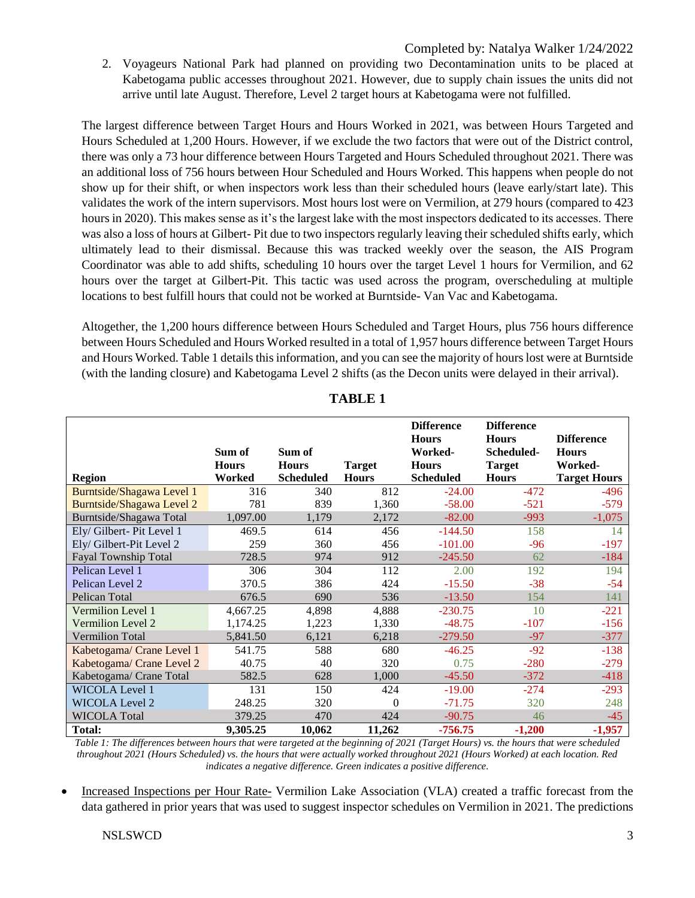2. Voyageurs National Park had planned on providing two Decontamination units to be placed at Kabetogama public accesses throughout 2021. However, due to supply chain issues the units did not arrive until late August. Therefore, Level 2 target hours at Kabetogama were not fulfilled.

The largest difference between Target Hours and Hours Worked in 2021, was between Hours Targeted and Hours Scheduled at 1,200 Hours. However, if we exclude the two factors that were out of the District control, there was only a 73 hour difference between Hours Targeted and Hours Scheduled throughout 2021. There was an additional loss of 756 hours between Hour Scheduled and Hours Worked. This happens when people do not show up for their shift, or when inspectors work less than their scheduled hours (leave early/start late). This validates the work of the intern supervisors. Most hours lost were on Vermilion, at 279 hours (compared to 423 hours in 2020). This makes sense as it's the largest lake with the most inspectors dedicated to its accesses. There was also a loss of hours at Gilbert- Pit due to two inspectors regularly leaving their scheduled shifts early, which ultimately lead to their dismissal. Because this was tracked weekly over the season, the AIS Program Coordinator was able to add shifts, scheduling 10 hours over the target Level 1 hours for Vermilion, and 62 hours over the target at Gilbert-Pit. This tactic was used across the program, overscheduling at multiple locations to best fulfill hours that could not be worked at Burntside- Van Vac and Kabetogama.

Altogether, the 1,200 hours difference between Hours Scheduled and Target Hours, plus 756 hours difference between Hours Scheduled and Hours Worked resulted in a total of 1,957 hours difference between Target Hours and Hours Worked. Table 1 details this information, and you can see the majority of hours lost were at Burntside (with the landing closure) and Kabetogama Level 2 shifts (as the Decon units were delayed in their arrival).

|                             |              |                  |               | <b>Difference</b><br><b>Hours</b> | <b>Difference</b><br><b>Hours</b> | <b>Difference</b>   |
|-----------------------------|--------------|------------------|---------------|-----------------------------------|-----------------------------------|---------------------|
|                             | Sum of       | Sum of           |               | Worked-                           | Scheduled-                        | <b>Hours</b>        |
|                             | <b>Hours</b> | <b>Hours</b>     | <b>Target</b> | <b>Hours</b>                      | <b>Target</b>                     | Worked-             |
| <b>Region</b>               | Worked       | <b>Scheduled</b> | <b>Hours</b>  | <b>Scheduled</b>                  | <b>Hours</b>                      | <b>Target Hours</b> |
| Burntside/Shagawa Level 1   | 316          | 340              | 812           | $-24.00$                          | $-472$                            | $-496$              |
| Burntside/Shagawa Level 2   | 781          | 839              | 1,360         | $-58.00$                          | $-521$                            | $-579$              |
| Burntside/Shagawa Total     | 1,097.00     | 1,179            | 2,172         | $-82.00$                          | $-993$                            | $-1,075$            |
| Ely/ Gilbert- Pit Level 1   | 469.5        | 614              | 456           | $-144.50$                         | 158                               | 14                  |
| Ely/ Gilbert-Pit Level 2    | 259          | 360              | 456           | $-101.00$                         | $-96$                             | $-197$              |
| <b>Fayal Township Total</b> | 728.5        | 974              | 912           | $-245.50$                         | 62                                | $-184$              |
| Pelican Level 1             | 306          | 304              | 112           | 2.00                              | 192                               | 194                 |
| Pelican Level 2             | 370.5        | 386              | 424           | $-15.50$                          | $-38$                             | $-54$               |
| Pelican Total               | 676.5        | 690              | 536           | $-13.50$                          | 154                               | 141                 |
| Vermilion Level 1           | 4,667.25     | 4,898            | 4,888         | $-230.75$                         | 10                                | $-221$              |
| Vermilion Level 2           | 1,174.25     | 1,223            | 1,330         | $-48.75$                          | $-107$                            | $-156$              |
| <b>Vermilion Total</b>      | 5,841.50     | 6,121            | 6,218         | $-279.50$                         | $-97$                             | $-377$              |
| Kabetogama/ Crane Level 1   | 541.75       | 588              | 680           | $-46.25$                          | $-92$                             | $-138$              |
| Kabetogama/ Crane Level 2   | 40.75        | 40               | 320           | 0.75                              | $-280$                            | $-279$              |
| Kabetogama/ Crane Total     | 582.5        | 628              | 1,000         | $-45.50$                          | $-372$                            | $-418$              |
| <b>WICOLA Level 1</b>       | 131          | 150              | 424           | $-19.00$                          | $-274$                            | $-293$              |
| <b>WICOLA Level 2</b>       | 248.25       | 320              | $\Omega$      | $-71.75$                          | 320                               | 248                 |
| <b>WICOLA Total</b>         | 379.25       | 470              | 424           | $-90.75$                          | 46                                | $-45$               |
| <b>Total:</b>               | 9,305.25     | 10,062           | 11,262        | -756.75                           | $-1,200$                          | $-1,957$            |

**TABLE 1**

*Table 1: The differences between hours that were targeted at the beginning of 2021 (Target Hours) vs. the hours that were scheduled throughout 2021 (Hours Scheduled) vs. the hours that were actually worked throughout 2021 (Hours Worked) at each location. Red indicates a negative difference. Green indicates a positive difference.* 

 Increased Inspections per Hour Rate- Vermilion Lake Association (VLA) created a traffic forecast from the data gathered in prior years that was used to suggest inspector schedules on Vermilion in 2021. The predictions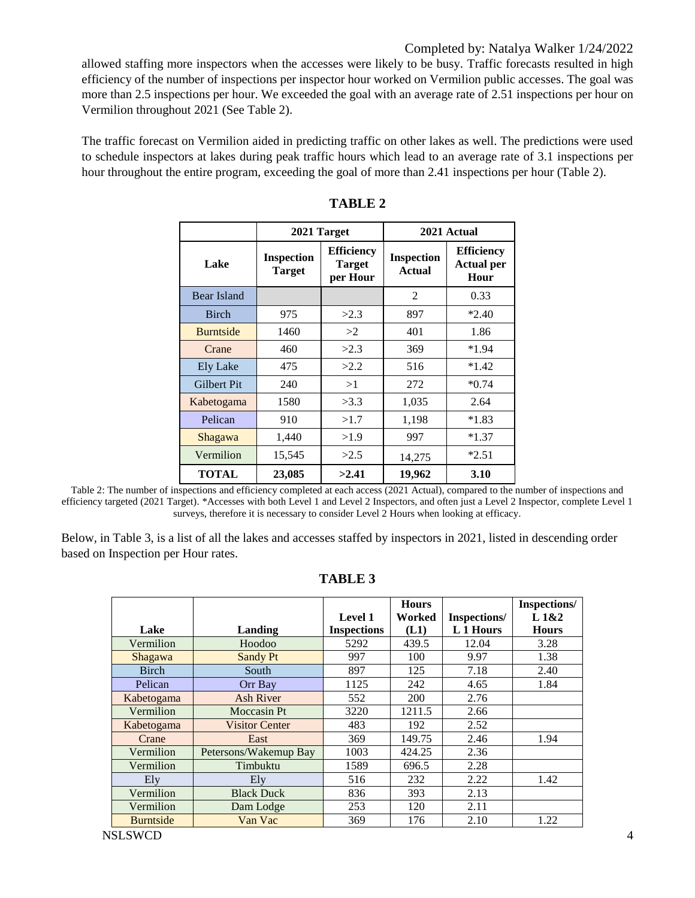allowed staffing more inspectors when the accesses were likely to be busy. Traffic forecasts resulted in high efficiency of the number of inspections per inspector hour worked on Vermilion public accesses. The goal was more than 2.5 inspections per hour. We exceeded the goal with an average rate of 2.51 inspections per hour on Vermilion throughout 2021 (See Table 2).

The traffic forecast on Vermilion aided in predicting traffic on other lakes as well. The predictions were used to schedule inspectors at lakes during peak traffic hours which lead to an average rate of 3.1 inspections per hour throughout the entire program, exceeding the goal of more than 2.41 inspections per hour (Table 2).

|                    | 2021 Target                        |                                                | 2021 Actual                        |                                                |  |  |
|--------------------|------------------------------------|------------------------------------------------|------------------------------------|------------------------------------------------|--|--|
| Lake               | <b>Inspection</b><br><b>Target</b> | <b>Efficiency</b><br><b>Target</b><br>per Hour | <b>Inspection</b><br><b>Actual</b> | <b>Efficiency</b><br><b>Actual per</b><br>Hour |  |  |
| <b>Bear Island</b> |                                    |                                                | 2                                  | 0.33                                           |  |  |
| <b>Birch</b>       | 975                                | >2.3                                           | 897                                | $*2.40$                                        |  |  |
| <b>Burntside</b>   | 1460                               | >2                                             | 401                                | 1.86                                           |  |  |
| Crane              | 460                                | >2.3                                           | 369                                | $*1.94$                                        |  |  |
| Ely Lake           | 475                                | >2.2                                           | 516                                | $*1.42$                                        |  |  |
| <b>Gilbert Pit</b> | 240                                | >1                                             | 272                                | $*0.74$                                        |  |  |
| Kabetogama         | 1580                               | >3.3                                           | 1,035                              | 2.64                                           |  |  |
| Pelican            | 910                                | >1.7                                           | 1,198                              | $*1.83$                                        |  |  |
| <b>Shagawa</b>     | 1,440                              | >1.9                                           | 997                                | $*1.37$                                        |  |  |
| Vermilion          | 15,545                             | >2.5                                           | 14,275                             | $*2.51$                                        |  |  |
| TOTAL              | 23,085                             | >2.41                                          | 19,962                             | 3.10                                           |  |  |

| 'ABLI |  |
|-------|--|
|-------|--|

Table 2: The number of inspections and efficiency completed at each access (2021 Actual), compared to the number of inspections and efficiency targeted (2021 Target). \*Accesses with both Level 1 and Level 2 Inspectors, and often just a Level 2 Inspector, complete Level 1 surveys, therefore it is necessary to consider Level 2 Hours when looking at efficacy.

Below, in Table 3, is a list of all the lakes and accesses staffed by inspectors in 2021, listed in descending order based on Inspection per Hour rates.

#### **TABLE 3**

|                  |                       |                    | <b>Hours</b> |                     | Inspections/ |
|------------------|-----------------------|--------------------|--------------|---------------------|--------------|
|                  |                       | Level 1            | Worked       | <b>Inspections/</b> | L1&2         |
| Lake             | <b>Landing</b>        | <b>Inspections</b> | (L1)         | L 1 Hours           | <b>Hours</b> |
| Vermilion        | Hoodoo                | 5292               | 439.5        | 12.04               | 3.28         |
| <b>Shagawa</b>   | Sandy Pt              | 997                | 100          | 9.97                | 1.38         |
| <b>Birch</b>     | South                 | 897                | 125          | 7.18                | 2.40         |
| Pelican          | Orr Bay               | 1125               | 242          | 4.65                | 1.84         |
| Kabetogama       | Ash River             | 552                | <b>200</b>   | 2.76                |              |
| Vermilion        | Moccasin Pt           | 3220               | 1211.5       | 2.66                |              |
| Kabetogama       | <b>Visitor Center</b> | 483                | 192          | 2.52                |              |
| Crane            | East                  | 369                | 149.75       | 2.46                | 1.94         |
| Vermilion        | Petersons/Wakemup Bay | 1003               | 424.25       | 2.36                |              |
| Vermilion        | Timbuktu              | 1589               | 696.5        | 2.28                |              |
| Ely              | Ely                   | 516                | 232          | 2.22                | 1.42         |
| Vermilion        | <b>Black Duck</b>     | 836                | 393          | 2.13                |              |
| Vermilion        | Dam Lodge             | 253                | 120          | 2.11                |              |
| <b>Burntside</b> | Van Vac               | 369                | 176          | 2.10                | 1.22         |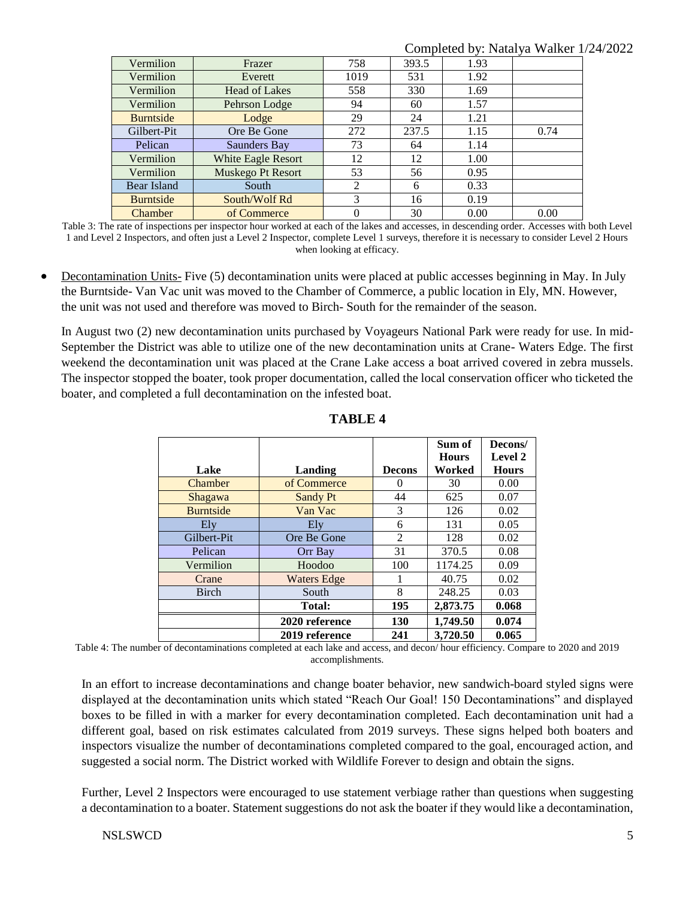Completed by: Natalya Walker 1/24/2022

| Vermilion        | Frazer                    | 758  | 393.5 | 1.93 |      |
|------------------|---------------------------|------|-------|------|------|
| Vermilion        | Everett                   | 1019 | 531   | 1.92 |      |
| Vermilion        | <b>Head of Lakes</b>      | 558  | 330   | 1.69 |      |
| Vermilion        | Pehrson Lodge             | 94   | 60    | 1.57 |      |
| <b>Burntside</b> | Lodge                     | 29   | 24    | 1.21 |      |
| Gilbert-Pit      | Ore Be Gone               | 272  | 237.5 | 1.15 | 0.74 |
| Pelican          | Saunders Bay              | 73   | 64    | 1.14 |      |
| Vermilion        | <b>White Eagle Resort</b> | 12   | 12    | 1.00 |      |
| Vermilion        | Muskego Pt Resort         | 53   | 56    | 0.95 |      |
| Bear Island      | South                     | 2    | 6     | 0.33 |      |
| <b>Burntside</b> | South/Wolf Rd             | 3    | 16    | 0.19 |      |
| Chamber          | of Commerce               | 0    | 30    | 0.00 | 0.00 |

Table 3: The rate of inspections per inspector hour worked at each of the lakes and accesses, in descending order. Accesses with both Level 1 and Level 2 Inspectors, and often just a Level 2 Inspector, complete Level 1 surveys, therefore it is necessary to consider Level 2 Hours when looking at efficacy.

• Decontamination Units- Five (5) decontamination units were placed at public accesses beginning in May. In July the Burntside- Van Vac unit was moved to the Chamber of Commerce, a public location in Ely, MN. However, the unit was not used and therefore was moved to Birch- South for the remainder of the season.

In August two (2) new decontamination units purchased by Voyageurs National Park were ready for use. In mid-September the District was able to utilize one of the new decontamination units at Crane- Waters Edge. The first weekend the decontamination unit was placed at the Crane Lake access a boat arrived covered in zebra mussels. The inspector stopped the boater, took proper documentation, called the local conservation officer who ticketed the boater, and completed a full decontamination on the infested boat.

|                  |                    |               | Sum of       | Decons/      |
|------------------|--------------------|---------------|--------------|--------------|
|                  |                    |               | <b>Hours</b> | Level 2      |
| Lake             | Landing            | <b>Decons</b> | Worked       | <b>Hours</b> |
| Chamber          | of Commerce        | $\theta$      | 30           | 0.00         |
| Shagawa          | Sandy Pt           | 44            | 625          | 0.07         |
| <b>Burntside</b> | Van Vac            | 3             | 126          | 0.02         |
| Ely              | E <sub>l</sub>     | 6             | 131          | 0.05         |
| Gilbert-Pit      | Ore Be Gone        | 2             | 128          | 0.02         |
| Pelican          | Orr Bay            | 31            | 370.5        | 0.08         |
| Vermilion        | Hoodoo             | 100           | 1174.25      | 0.09         |
| Crane            | <b>Waters Edge</b> |               | 40.75        | 0.02         |
| <b>Birch</b>     | South              | 8             | 248.25       | 0.03         |
|                  | <b>Total:</b>      | 195           | 2,873.75     | 0.068        |
|                  | 2020 reference     | <b>130</b>    | 1,749.50     | 0.074        |
|                  | 2019 reference     | 241           | 3,720.50     | 0.065        |

**TABLE 4**

Table 4: The number of decontaminations completed at each lake and access, and decon/ hour efficiency. Compare to 2020 and 2019 accomplishments.

In an effort to increase decontaminations and change boater behavior, new sandwich-board styled signs were displayed at the decontamination units which stated "Reach Our Goal! 150 Decontaminations" and displayed boxes to be filled in with a marker for every decontamination completed. Each decontamination unit had a different goal, based on risk estimates calculated from 2019 surveys. These signs helped both boaters and inspectors visualize the number of decontaminations completed compared to the goal, encouraged action, and suggested a social norm. The District worked with Wildlife Forever to design and obtain the signs.

Further, Level 2 Inspectors were encouraged to use statement verbiage rather than questions when suggesting a decontamination to a boater. Statement suggestions do not ask the boater if they would like a decontamination,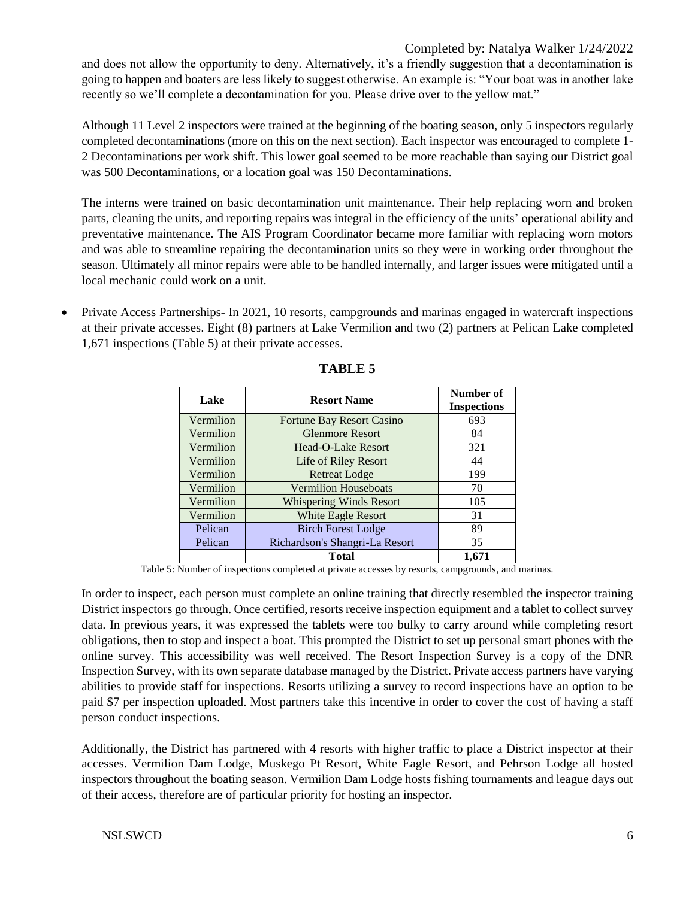and does not allow the opportunity to deny. Alternatively, it's a friendly suggestion that a decontamination is going to happen and boaters are less likely to suggest otherwise. An example is: "Your boat was in another lake recently so we'll complete a decontamination for you. Please drive over to the yellow mat."

Although 11 Level 2 inspectors were trained at the beginning of the boating season, only 5 inspectors regularly completed decontaminations (more on this on the next section). Each inspector was encouraged to complete 1- 2 Decontaminations per work shift. This lower goal seemed to be more reachable than saying our District goal was 500 Decontaminations, or a location goal was 150 Decontaminations.

The interns were trained on basic decontamination unit maintenance. Their help replacing worn and broken parts, cleaning the units, and reporting repairs was integral in the efficiency of the units' operational ability and preventative maintenance. The AIS Program Coordinator became more familiar with replacing worn motors and was able to streamline repairing the decontamination units so they were in working order throughout the season. Ultimately all minor repairs were able to be handled internally, and larger issues were mitigated until a local mechanic could work on a unit.

 Private Access Partnerships- In 2021, 10 resorts, campgrounds and marinas engaged in watercraft inspections at their private accesses. Eight (8) partners at Lake Vermilion and two (2) partners at Pelican Lake completed 1,671 inspections (Table 5) at their private accesses.

| Lake      | <b>Resort Name</b>               | Number of<br><b>Inspections</b> |
|-----------|----------------------------------|---------------------------------|
| Vermilion | <b>Fortune Bay Resort Casino</b> | 693                             |
| Vermilion | <b>Glenmore Resort</b>           | 84                              |
| Vermilion | Head-O-Lake Resort               | 321                             |
| Vermilion | Life of Riley Resort             | 44                              |
| Vermilion | <b>Retreat Lodge</b>             | 199                             |
| Vermilion | <b>Vermilion Houseboats</b>      | 70                              |
| Vermilion | <b>Whispering Winds Resort</b>   | 105                             |
| Vermilion | <b>White Eagle Resort</b>        | 31                              |
| Pelican   | <b>Birch Forest Lodge</b>        | 89                              |
| Pelican   | Richardson's Shangri-La Resort   | 35                              |
|           | Total                            | 1.671                           |

**TABLE 5**

Table 5: Number of inspections completed at private accesses by resorts, campgrounds, and marinas.

In order to inspect, each person must complete an online training that directly resembled the inspector training District inspectors go through. Once certified, resorts receive inspection equipment and a tablet to collect survey data. In previous years, it was expressed the tablets were too bulky to carry around while completing resort obligations, then to stop and inspect a boat. This prompted the District to set up personal smart phones with the online survey. This accessibility was well received. The Resort Inspection Survey is a copy of the DNR Inspection Survey, with its own separate database managed by the District. Private access partners have varying abilities to provide staff for inspections. Resorts utilizing a survey to record inspections have an option to be paid \$7 per inspection uploaded. Most partners take this incentive in order to cover the cost of having a staff person conduct inspections.

Additionally, the District has partnered with 4 resorts with higher traffic to place a District inspector at their accesses. Vermilion Dam Lodge, Muskego Pt Resort, White Eagle Resort, and Pehrson Lodge all hosted inspectors throughout the boating season. Vermilion Dam Lodge hosts fishing tournaments and league days out of their access, therefore are of particular priority for hosting an inspector.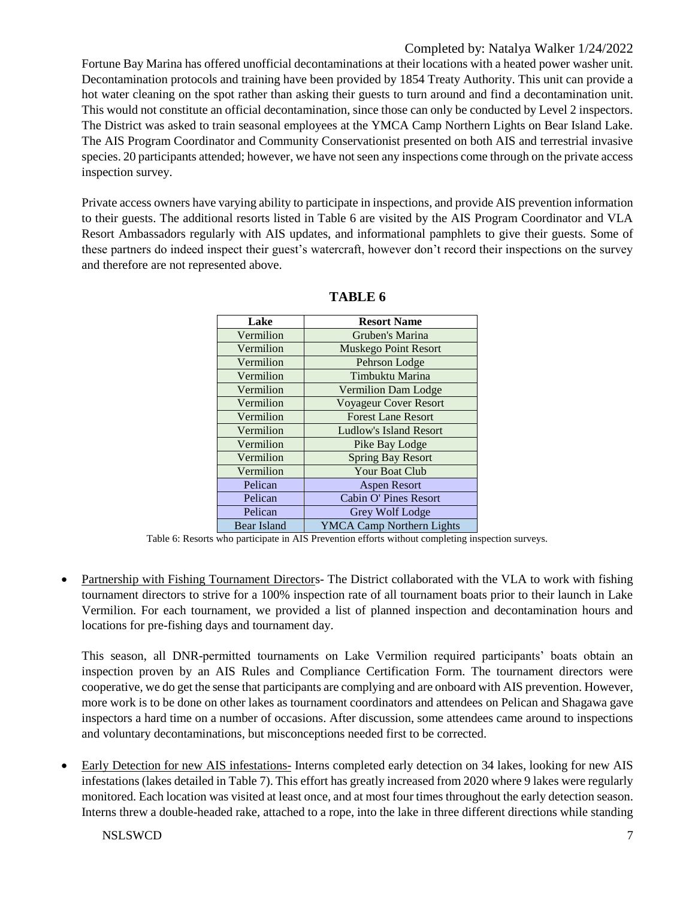Fortune Bay Marina has offered unofficial decontaminations at their locations with a heated power washer unit. Decontamination protocols and training have been provided by 1854 Treaty Authority. This unit can provide a hot water cleaning on the spot rather than asking their guests to turn around and find a decontamination unit. This would not constitute an official decontamination, since those can only be conducted by Level 2 inspectors. The District was asked to train seasonal employees at the YMCA Camp Northern Lights on Bear Island Lake. The AIS Program Coordinator and Community Conservationist presented on both AIS and terrestrial invasive species. 20 participants attended; however, we have not seen any inspections come through on the private access inspection survey.

Private access owners have varying ability to participate in inspections, and provide AIS prevention information to their guests. The additional resorts listed in Table 6 are visited by the AIS Program Coordinator and VLA Resort Ambassadors regularly with AIS updates, and informational pamphlets to give their guests. Some of these partners do indeed inspect their guest's watercraft, however don't record their inspections on the survey and therefore are not represented above.

| Lake        | <b>Resort Name</b>               |
|-------------|----------------------------------|
| Vermilion   | Gruben's Marina                  |
| Vermilion   | <b>Muskego Point Resort</b>      |
| Vermilion   | Pehrson Lodge                    |
| Vermilion   | Timbuktu Marina                  |
| Vermilion   | <b>Vermilion Dam Lodge</b>       |
| Vermilion   | <b>Voyageur Cover Resort</b>     |
| Vermilion   | <b>Forest Lane Resort</b>        |
| Vermilion   | <b>Ludlow's Island Resort</b>    |
| Vermilion   | Pike Bay Lodge                   |
| Vermilion   | <b>Spring Bay Resort</b>         |
| Vermilion   | Your Boat Club                   |
| Pelican     | <b>Aspen Resort</b>              |
| Pelican     | <b>Cabin O' Pines Resort</b>     |
| Pelican     | Grey Wolf Lodge                  |
| Bear Island | <b>YMCA Camp Northern Lights</b> |

#### **TABLE 6**

Table 6: Resorts who participate in AIS Prevention efforts without completing inspection surveys.

 Partnership with Fishing Tournament Directors- The District collaborated with the VLA to work with fishing tournament directors to strive for a 100% inspection rate of all tournament boats prior to their launch in Lake Vermilion. For each tournament, we provided a list of planned inspection and decontamination hours and locations for pre-fishing days and tournament day.

This season, all DNR-permitted tournaments on Lake Vermilion required participants' boats obtain an inspection proven by an AIS Rules and Compliance Certification Form. The tournament directors were cooperative, we do get the sense that participants are complying and are onboard with AIS prevention. However, more work is to be done on other lakes as tournament coordinators and attendees on Pelican and Shagawa gave inspectors a hard time on a number of occasions. After discussion, some attendees came around to inspections and voluntary decontaminations, but misconceptions needed first to be corrected.

 Early Detection for new AIS infestations- Interns completed early detection on 34 lakes, looking for new AIS infestations (lakes detailed in Table 7). This effort has greatly increased from 2020 where 9 lakes were regularly monitored. Each location was visited at least once, and at most four times throughout the early detection season. Interns threw a double-headed rake, attached to a rope, into the lake in three different directions while standing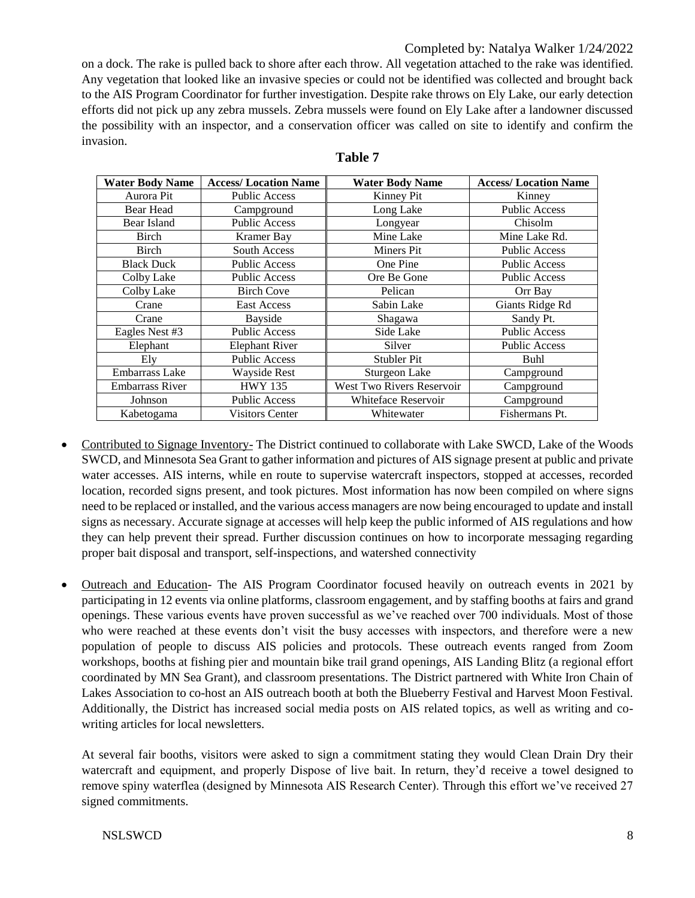on a dock. The rake is pulled back to shore after each throw. All vegetation attached to the rake was identified. Any vegetation that looked like an invasive species or could not be identified was collected and brought back to the AIS Program Coordinator for further investigation. Despite rake throws on Ely Lake, our early detection efforts did not pick up any zebra mussels. Zebra mussels were found on Ely Lake after a landowner discussed the possibility with an inspector, and a conservation officer was called on site to identify and confirm the invasion.

| <b>Water Body Name</b> | <b>Access/Location Name</b> | <b>Water Body Name</b>    | <b>Access/Location Name</b> |
|------------------------|-----------------------------|---------------------------|-----------------------------|
| Aurora Pit             | <b>Public Access</b>        | Kinney Pit                | Kinney                      |
| Bear Head              | Campground                  | Long Lake                 | <b>Public Access</b>        |
| Bear Island            | <b>Public Access</b>        | Longyear                  | Chisolm                     |
| Birch                  | Kramer Bay                  | Mine Lake                 | Mine Lake Rd.               |
| <b>Birch</b>           | <b>South Access</b>         | Miners Pit                | <b>Public Access</b>        |
| <b>Black Duck</b>      | <b>Public Access</b>        | One Pine                  | <b>Public Access</b>        |
| Colby Lake             | <b>Public Access</b>        | Ore Be Gone               | <b>Public Access</b>        |
| Colby Lake             | <b>Birch Cove</b>           | Pelican                   | Orr Bay                     |
| Crane                  | East Access                 | Sabin Lake                | Giants Ridge Rd             |
| Crane                  | Bayside                     | Shagawa                   | Sandy Pt.                   |
| Eagles Nest #3         | <b>Public Access</b>        | Side Lake                 | <b>Public Access</b>        |
| Elephant               | <b>Elephant River</b>       | Silver                    | <b>Public Access</b>        |
| Ely                    | <b>Public Access</b>        | <b>Stubler Pit</b>        | <b>Buhl</b>                 |
| <b>Embarrass Lake</b>  | Wayside Rest                | Sturgeon Lake             | Campground                  |
| <b>Embarrass River</b> | <b>HWY 135</b>              | West Two Rivers Reservoir | Campground                  |
| Johnson                | <b>Public Access</b>        | Whiteface Reservoir       | Campground                  |
| Kabetogama             | <b>Visitors Center</b>      | Whitewater                | Fishermans Pt.              |

#### **Table 7**

- Contributed to Signage Inventory- The District continued to collaborate with Lake SWCD, Lake of the Woods SWCD, and Minnesota Sea Grant to gather information and pictures of AIS signage present at public and private water accesses. AIS interns, while en route to supervise watercraft inspectors, stopped at accesses, recorded location, recorded signs present, and took pictures. Most information has now been compiled on where signs need to be replaced or installed, and the various access managers are now being encouraged to update and install signs as necessary. Accurate signage at accesses will help keep the public informed of AIS regulations and how they can help prevent their spread. Further discussion continues on how to incorporate messaging regarding proper bait disposal and transport, self-inspections, and watershed connectivity
- Outreach and Education- The AIS Program Coordinator focused heavily on outreach events in 2021 by participating in 12 events via online platforms, classroom engagement, and by staffing booths at fairs and grand openings. These various events have proven successful as we've reached over 700 individuals. Most of those who were reached at these events don't visit the busy accesses with inspectors, and therefore were a new population of people to discuss AIS policies and protocols. These outreach events ranged from Zoom workshops, booths at fishing pier and mountain bike trail grand openings, AIS Landing Blitz (a regional effort coordinated by MN Sea Grant), and classroom presentations. The District partnered with White Iron Chain of Lakes Association to co-host an AIS outreach booth at both the Blueberry Festival and Harvest Moon Festival. Additionally, the District has increased social media posts on AIS related topics, as well as writing and cowriting articles for local newsletters.

At several fair booths, visitors were asked to sign a commitment stating they would Clean Drain Dry their watercraft and equipment, and properly Dispose of live bait. In return, they'd receive a towel designed to remove spiny waterflea (designed by Minnesota AIS Research Center). Through this effort we've received 27 signed commitments.

NSLSWCD 8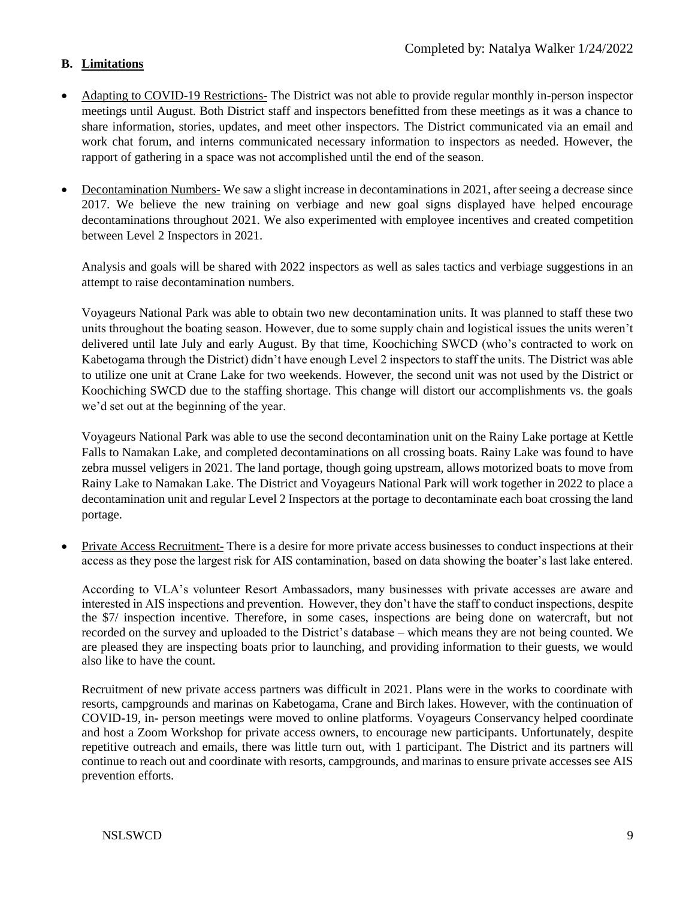## **B. Limitations**

- Adapting to COVID-19 Restrictions- The District was not able to provide regular monthly in-person inspector meetings until August. Both District staff and inspectors benefitted from these meetings as it was a chance to share information, stories, updates, and meet other inspectors. The District communicated via an email and work chat forum, and interns communicated necessary information to inspectors as needed. However, the rapport of gathering in a space was not accomplished until the end of the season.
- Decontamination Numbers- We saw a slight increase in decontaminations in 2021, after seeing a decrease since 2017. We believe the new training on verbiage and new goal signs displayed have helped encourage decontaminations throughout 2021. We also experimented with employee incentives and created competition between Level 2 Inspectors in 2021.

Analysis and goals will be shared with 2022 inspectors as well as sales tactics and verbiage suggestions in an attempt to raise decontamination numbers.

Voyageurs National Park was able to obtain two new decontamination units. It was planned to staff these two units throughout the boating season. However, due to some supply chain and logistical issues the units weren't delivered until late July and early August. By that time, Koochiching SWCD (who's contracted to work on Kabetogama through the District) didn't have enough Level 2 inspectors to staff the units. The District was able to utilize one unit at Crane Lake for two weekends. However, the second unit was not used by the District or Koochiching SWCD due to the staffing shortage. This change will distort our accomplishments vs. the goals we'd set out at the beginning of the year.

Voyageurs National Park was able to use the second decontamination unit on the Rainy Lake portage at Kettle Falls to Namakan Lake, and completed decontaminations on all crossing boats. Rainy Lake was found to have zebra mussel veligers in 2021. The land portage, though going upstream, allows motorized boats to move from Rainy Lake to Namakan Lake. The District and Voyageurs National Park will work together in 2022 to place a decontamination unit and regular Level 2 Inspectors at the portage to decontaminate each boat crossing the land portage.

 Private Access Recruitment- There is a desire for more private access businesses to conduct inspections at their access as they pose the largest risk for AIS contamination, based on data showing the boater's last lake entered.

According to VLA's volunteer Resort Ambassadors, many businesses with private accesses are aware and interested in AIS inspections and prevention. However, they don't have the staff to conduct inspections, despite the \$7/ inspection incentive. Therefore, in some cases, inspections are being done on watercraft, but not recorded on the survey and uploaded to the District's database – which means they are not being counted. We are pleased they are inspecting boats prior to launching, and providing information to their guests, we would also like to have the count.

Recruitment of new private access partners was difficult in 2021. Plans were in the works to coordinate with resorts, campgrounds and marinas on Kabetogama, Crane and Birch lakes. However, with the continuation of COVID-19, in- person meetings were moved to online platforms. Voyageurs Conservancy helped coordinate and host a Zoom Workshop for private access owners, to encourage new participants. Unfortunately, despite repetitive outreach and emails, there was little turn out, with 1 participant. The District and its partners will continue to reach out and coordinate with resorts, campgrounds, and marinas to ensure private accesses see AIS prevention efforts.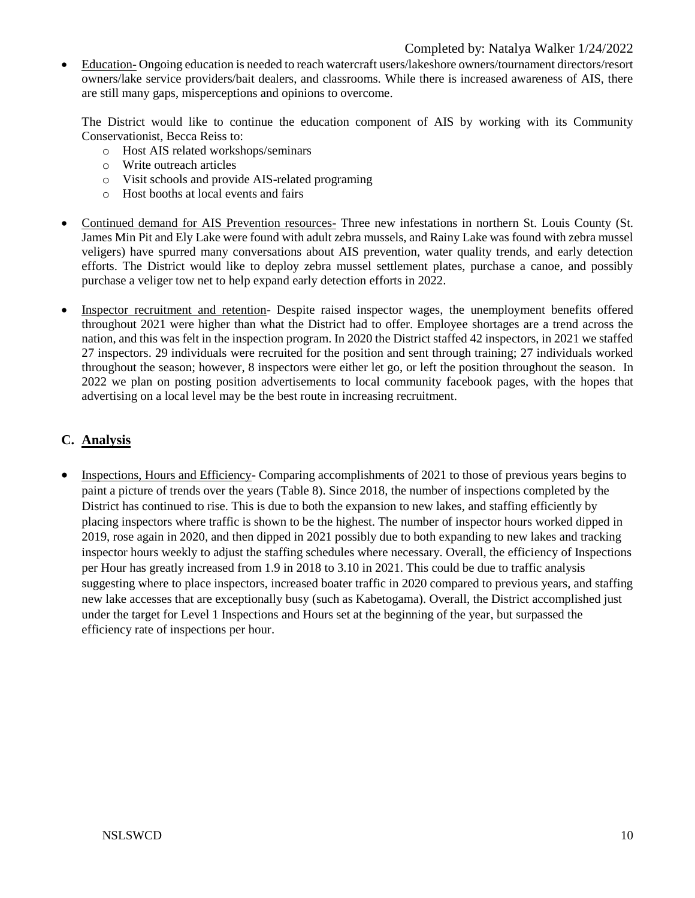Education- Ongoing education is needed to reach watercraft users/lakeshore owners/tournament directors/resort owners/lake service providers/bait dealers, and classrooms. While there is increased awareness of AIS, there are still many gaps, misperceptions and opinions to overcome.

The District would like to continue the education component of AIS by working with its Community Conservationist, Becca Reiss to:

- o Host AIS related workshops/seminars
- o Write outreach articles
- o Visit schools and provide AIS-related programing
- o Host booths at local events and fairs
- Continued demand for AIS Prevention resources- Three new infestations in northern St. Louis County (St. James Min Pit and Ely Lake were found with adult zebra mussels, and Rainy Lake was found with zebra mussel veligers) have spurred many conversations about AIS prevention, water quality trends, and early detection efforts. The District would like to deploy zebra mussel settlement plates, purchase a canoe, and possibly purchase a veliger tow net to help expand early detection efforts in 2022.
- Inspector recruitment and retention- Despite raised inspector wages, the unemployment benefits offered throughout 2021 were higher than what the District had to offer. Employee shortages are a trend across the nation, and this was felt in the inspection program. In 2020 the District staffed 42 inspectors, in 2021 we staffed 27 inspectors. 29 individuals were recruited for the position and sent through training; 27 individuals worked throughout the season; however, 8 inspectors were either let go, or left the position throughout the season. In 2022 we plan on posting position advertisements to local community facebook pages, with the hopes that advertising on a local level may be the best route in increasing recruitment.

# **C. Analysis**

 Inspections, Hours and Efficiency- Comparing accomplishments of 2021 to those of previous years begins to paint a picture of trends over the years (Table 8). Since 2018, the number of inspections completed by the District has continued to rise. This is due to both the expansion to new lakes, and staffing efficiently by placing inspectors where traffic is shown to be the highest. The number of inspector hours worked dipped in 2019, rose again in 2020, and then dipped in 2021 possibly due to both expanding to new lakes and tracking inspector hours weekly to adjust the staffing schedules where necessary. Overall, the efficiency of Inspections per Hour has greatly increased from 1.9 in 2018 to 3.10 in 2021. This could be due to traffic analysis suggesting where to place inspectors, increased boater traffic in 2020 compared to previous years, and staffing new lake accesses that are exceptionally busy (such as Kabetogama). Overall, the District accomplished just under the target for Level 1 Inspections and Hours set at the beginning of the year, but surpassed the efficiency rate of inspections per hour.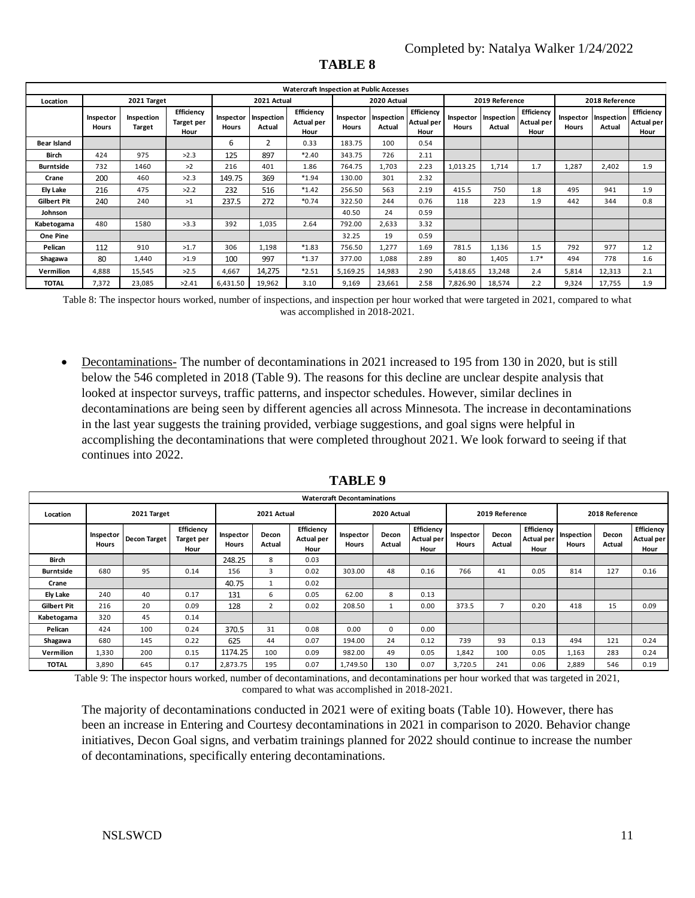|                    |                           |                      |                                  |                    |                      | <b>Watercraft Inspection at Public Accesses</b> |                           |                      |                                         |                           |                      |                                         |                |                                |                                  |
|--------------------|---------------------------|----------------------|----------------------------------|--------------------|----------------------|-------------------------------------------------|---------------------------|----------------------|-----------------------------------------|---------------------------|----------------------|-----------------------------------------|----------------|--------------------------------|----------------------------------|
| Location           |                           | 2021 Target          |                                  |                    | 2021 Actual          |                                                 |                           | 2020 Actual          |                                         | 2019 Reference            |                      |                                         | 2018 Reference |                                |                                  |
|                    | Inspector<br><b>Hours</b> | Inspection<br>Target | Efficiency<br>Target per<br>Hour | Inspector<br>Hours | Inspection<br>Actual | Efficiency<br>Actual per<br>Hour                | Inspector<br><b>Hours</b> | Inspection<br>Actual | Efficiency<br><b>Actual per</b><br>Hour | Inspector<br><b>Hours</b> | Inspection<br>Actual | Efficiency<br><b>Actual per</b><br>Hour | <b>Hours</b>   | Inspector Inspection<br>Actual | Efficiency<br>Actual per<br>Hour |
| <b>Bear Island</b> |                           |                      |                                  | 6                  | 2                    | 0.33                                            | 183.75                    | 100                  | 0.54                                    |                           |                      |                                         |                |                                |                                  |
| Birch              | 424                       | 975                  | >2.3                             | 125                | 897                  | $*2.40$                                         | 343.75                    | 726                  | 2.11                                    |                           |                      |                                         |                |                                |                                  |
| <b>Burntside</b>   | 732                       | 1460                 | >2                               | 216                | 401                  | 1.86                                            | 764.75                    | 1,703                | 2.23                                    | 1,013.25                  | 1,714                | 1.7                                     | 1,287          | 2,402                          | 1.9                              |
| Crane              | 200                       | 460                  | >2.3                             | 149.75             | 369                  | $*1.94$                                         | 130.00                    | 301                  | 2.32                                    |                           |                      |                                         |                |                                |                                  |
| Ely Lake           | 216                       | 475                  | >2.2                             | 232                | 516                  | $*1.42$                                         | 256.50                    | 563                  | 2.19                                    | 415.5                     | 750                  | 1.8                                     | 495            | 941                            | 1.9                              |
| <b>Gilbert Pit</b> | 240                       | 240                  | >1                               | 237.5              | 272                  | $*0.74$                                         | 322.50                    | 244                  | 0.76                                    | 118                       | 223                  | 1.9                                     | 442            | 344                            | 0.8                              |
| Johnson            |                           |                      |                                  |                    |                      |                                                 | 40.50                     | 24                   | 0.59                                    |                           |                      |                                         |                |                                |                                  |
| Kabetogama         | 480                       | 1580                 | >3.3                             | 392                | 1,035                | 2.64                                            | 792.00                    | 2,633                | 3.32                                    |                           |                      |                                         |                |                                |                                  |
| <b>One Pine</b>    |                           |                      |                                  |                    |                      |                                                 | 32.25                     | 19                   | 0.59                                    |                           |                      |                                         |                |                                |                                  |
| Pelican            | 112                       | 910                  | >1.7                             | 306                | 1,198                | $*1.83$                                         | 756.50                    | 1,277                | 1.69                                    | 781.5                     | 1,136                | 1.5                                     | 792            | 977                            | 1.2                              |
| Shagawa            | 80                        | 1,440                | >1.9                             | 100                | 997                  | $*1.37$                                         | 377.00                    | 1,088                | 2.89                                    | 80                        | 1,405                | $1.7*$                                  | 494            | 778                            | 1.6                              |
| Vermilion          | 4,888                     | 15,545               | >2.5                             | 4,667              | 14,275               | $*2.51$                                         | 5,169.25                  | 14,983               | 2.90                                    | 5,418.65                  | 13,248               | 2.4                                     | 5,814          | 12,313                         | 2.1                              |
| <b>TOTAL</b>       | 7,372                     | 23,085               | >2.41                            | 6,431.50           | 19,962               | 3.10                                            | 9,169                     | 23,661               | 2.58                                    | 7,826.90                  | 18,574               | 2.2                                     | 9,324          | 17,755                         | 1.9                              |

# **TABLE 8**

Table 8: The inspector hours worked, number of inspections, and inspection per hour worked that were targeted in 2021, compared to what was accomplished in 2018-2021.

 Decontaminations- The number of decontaminations in 2021 increased to 195 from 130 in 2020, but is still below the 546 completed in 2018 (Table 9). The reasons for this decline are unclear despite analysis that looked at inspector surveys, traffic patterns, and inspector schedules. However, similar declines in decontaminations are being seen by different agencies all across Minnesota. The increase in decontaminations in the last year suggests the training provided, verbiage suggestions, and goal signs were helpful in accomplishing the decontaminations that were completed throughout 2021. We look forward to seeing if that continues into 2022.

|                    | <b>Watercraft Decontaminations</b> |                     |                                  |                                  |                 |                                  |                           |                 |                                  |                    |                 |                                         |                     |                 |                                  |
|--------------------|------------------------------------|---------------------|----------------------------------|----------------------------------|-----------------|----------------------------------|---------------------------|-----------------|----------------------------------|--------------------|-----------------|-----------------------------------------|---------------------|-----------------|----------------------------------|
| Location           |                                    | 2021 Target         |                                  | 2021 Actual                      |                 | 2020 Actual                      |                           | 2019 Reference  |                                  |                    | 2018 Reference  |                                         |                     |                 |                                  |
|                    | Inspector<br>Hours                 | <b>Decon Target</b> | Efficiency<br>Target per<br>Hour | Inspector<br><b>Hours</b>        | Decon<br>Actual | Efficiency<br>Actual per<br>Hour | Inspector<br><b>Hours</b> | Decon<br>Actual | Efficiency<br>Actual per<br>Hour | Inspector<br>Hours | Decon<br>Actual | <b>Efficiency</b><br>Actual per<br>Hour | Inspection<br>Hours | Decon<br>Actual | Efficiency<br>Actual per<br>Hour |
| <b>Birch</b>       |                                    |                     |                                  | 248.25                           | 8               | 0.03                             |                           |                 |                                  |                    |                 |                                         |                     |                 |                                  |
| <b>Burntside</b>   | 680                                | 95                  | 0.14                             | 156                              | 3               | 0.02                             | 303.00                    | 48              | 0.16                             | 766                | 41              | 0.05                                    | 814                 | 127             | 0.16                             |
| Crane              |                                    |                     |                                  | 40.75                            | 1               | 0.02                             |                           |                 |                                  |                    |                 |                                         |                     |                 |                                  |
| Ely Lake           | 240                                | 40                  | 0.17                             | 131                              | 6               | 0.05                             | 62.00                     | 8               | 0.13                             |                    |                 |                                         |                     |                 |                                  |
| <b>Gilbert Pit</b> | 216                                | 20                  | 0.09                             | 128                              | $\overline{2}$  | 0.02                             | 208.50                    | ┸               | 0.00                             | 373.5              |                 | 0.20                                    | 418                 | 15              | 0.09                             |
| Kabetogama         | 320                                | 45                  | 0.14                             |                                  |                 |                                  |                           |                 |                                  |                    |                 |                                         |                     |                 |                                  |
| Pelican            | 424                                | 100                 | 0.24                             | 370.5                            | 31              | 0.08                             | 0.00                      | 0               | 0.00                             |                    |                 |                                         |                     |                 |                                  |
| Shagawa            | 680                                | 145                 | 0.22                             | 625                              | 44              | 0.07                             | 194.00                    | 24              | 0.12                             | 739                | 93              | 0.13                                    | 494                 | 121             | 0.24                             |
| Vermilion          | 1,330                              | 200                 | 0.15                             | 1174.25                          | 100             | 0.09                             | 982.00                    | 49              | 0.05                             | 1,842              | 100             | 0.05                                    | 1,163               | 283             | 0.24                             |
| <b>TOTAL</b>       | 3,890                              | 645                 | 0.17                             | 2,873.75                         | 195             | 0.07                             | 1,749.50                  | 130             | 0.07                             | 3,720.5            | 241             | 0.06                                    | 2,889               | 546             | 0.19                             |
|                    | m 11 o m 1                         | .                   |                                  | $\mathbf{1}$ $\mathbf{1}$<br>- 1 | $^{\circ}$ 1    | $\cdots$<br>$\sim$ $\sim$ $\sim$ | 1 <sub>1</sub>            |                 | $\cdots$                         |                    |                 |                                         |                     | 0.021           |                                  |

**TABLE 9**

Table 9: The inspector hours worked, number of decontaminations, and decontaminations per hour worked that was targeted in 2021, compared to what was accomplished in 2018-2021.

The majority of decontaminations conducted in 2021 were of exiting boats (Table 10). However, there has been an increase in Entering and Courtesy decontaminations in 2021 in comparison to 2020. Behavior change initiatives, Decon Goal signs, and verbatim trainings planned for 2022 should continue to increase the number of decontaminations, specifically entering decontaminations.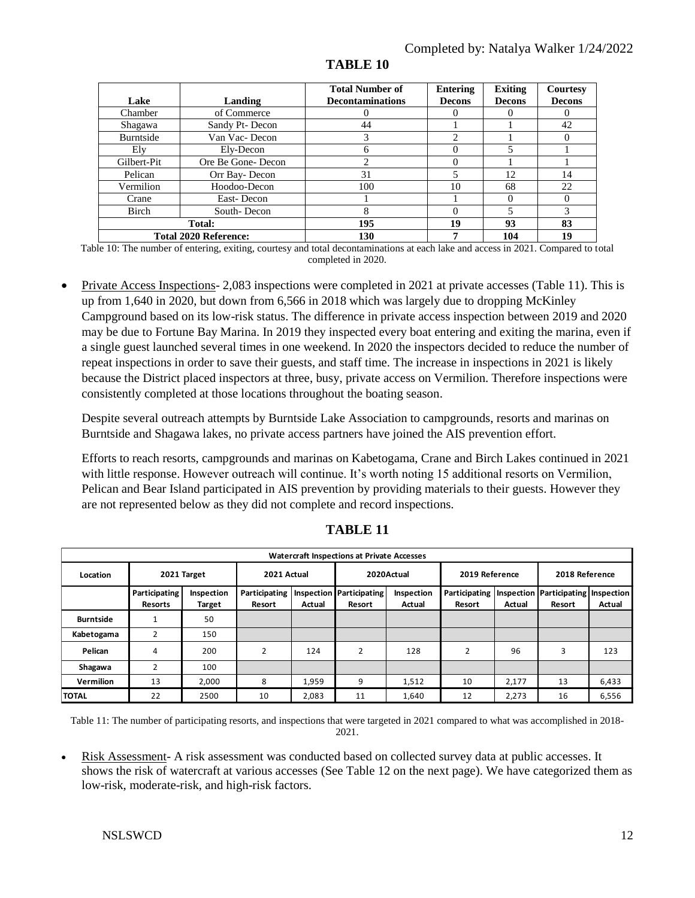|             |                              | <b>Total Number of</b>  | Entering      | <b>Exiting</b> | Courtesy      |
|-------------|------------------------------|-------------------------|---------------|----------------|---------------|
| Lake        | Landing                      | <b>Decontaminations</b> | <b>Decons</b> | <b>Decons</b>  | <b>Decons</b> |
| Chamber     | of Commerce                  |                         |               |                | $_{0}$        |
| Shagawa     | Sandy Pt-Decon               | 44                      |               |                | 42            |
| Burntside   | Van Vac-Decon                | 3                       | $\mathcal{L}$ |                | $\Omega$      |
| Ely         | Ely-Decon                    | 6                       |               | 5              |               |
| Gilbert-Pit | Ore Be Gone-Decon            | 2                       |               |                |               |
| Pelican     | Orr Bay-Decon                | 31                      |               | 12             | 14            |
| Vermilion   | Hoodoo-Decon                 | 100                     | 10            | 68             | 22            |
| Crane       | East-Decon                   |                         |               | 0              | $\Omega$      |
| Birch       | South-Decon                  | 8                       |               | 5              | 3             |
|             | Total:                       | 195                     | 19            | 93             | 83            |
|             | <b>Total 2020 Reference:</b> | 130                     |               | 104            | 19            |

# **TABLE 10**

Table 10: The number of entering, exiting, courtesy and total decontaminations at each lake and access in 2021. Compared to total completed in 2020.

 Private Access Inspections- 2,083 inspections were completed in 2021 at private accesses (Table 11). This is up from 1,640 in 2020, but down from 6,566 in 2018 which was largely due to dropping McKinley Campground based on its low-risk status. The difference in private access inspection between 2019 and 2020 may be due to Fortune Bay Marina. In 2019 they inspected every boat entering and exiting the marina, even if a single guest launched several times in one weekend. In 2020 the inspectors decided to reduce the number of repeat inspections in order to save their guests, and staff time. The increase in inspections in 2021 is likely because the District placed inspectors at three, busy, private access on Vermilion. Therefore inspections were consistently completed at those locations throughout the boating season.

Despite several outreach attempts by Burntside Lake Association to campgrounds, resorts and marinas on Burntside and Shagawa lakes, no private access partners have joined the AIS prevention effort.

Efforts to reach resorts, campgrounds and marinas on Kabetogama, Crane and Birch Lakes continued in 2021 with little response. However outreach will continue. It's worth noting 15 additional resorts on Vermilion, Pelican and Bear Island participated in AIS prevention by providing materials to their guests. However they are not represented below as they did not complete and record inspections.

| <b>Watercraft Inspections at Private Accesses</b> |                                        |                      |                         |        |                                    |                      |                         |                      |                                    |                            |  |
|---------------------------------------------------|----------------------------------------|----------------------|-------------------------|--------|------------------------------------|----------------------|-------------------------|----------------------|------------------------------------|----------------------------|--|
| Location                                          | 2021 Target                            |                      | 2021 Actual             |        | 2020Actual                         |                      | 2019 Reference          |                      | 2018 Reference                     |                            |  |
|                                                   | <b>Participating</b><br><b>Resorts</b> | Inspection<br>Target | Participating<br>Resort | Actual | Inspection Participating<br>Resort | Inspection<br>Actual | Participating<br>Resort | Inspection<br>Actual | Participating Inspection<br>Resort | Actual                     |  |
| <b>Burntside</b>                                  | 1                                      | 50                   |                         |        |                                    |                      |                         |                      |                                    |                            |  |
| Kabetogama                                        | 2                                      | 150                  |                         |        |                                    |                      |                         |                      |                                    |                            |  |
| Pelican                                           | 4                                      | 200                  | $\overline{2}$          | 124    | $\overline{2}$                     | 128                  | 2                       | 96                   | 3                                  | 123                        |  |
| Shagawa                                           | 2                                      | 100                  |                         |        |                                    |                      |                         |                      |                                    |                            |  |
| <b>Vermilion</b>                                  | 13                                     | 2,000                | 8                       | 1,959  | 9                                  | 1,512                | 10                      | 2,177                | 13                                 | 6,433                      |  |
| <b>TOTAL</b>                                      | 22                                     | 2500                 | 10                      | 2,083  | 11                                 | 1,640                | 12                      | 2,273                | 16                                 | 6,556                      |  |
|                                                   |                                        |                      |                         |        |                                    |                      |                         |                      |                                    | $\cdots$ $\cdots$ $\cdots$ |  |

# **TABLE 11**

Table 11: The number of participating resorts, and inspections that were targeted in 2021 compared to what was accomplished in 2018- 2021.

 Risk Assessment- A risk assessment was conducted based on collected survey data at public accesses. It shows the risk of watercraft at various accesses (See Table 12 on the next page). We have categorized them as low-risk, moderate-risk, and high-risk factors.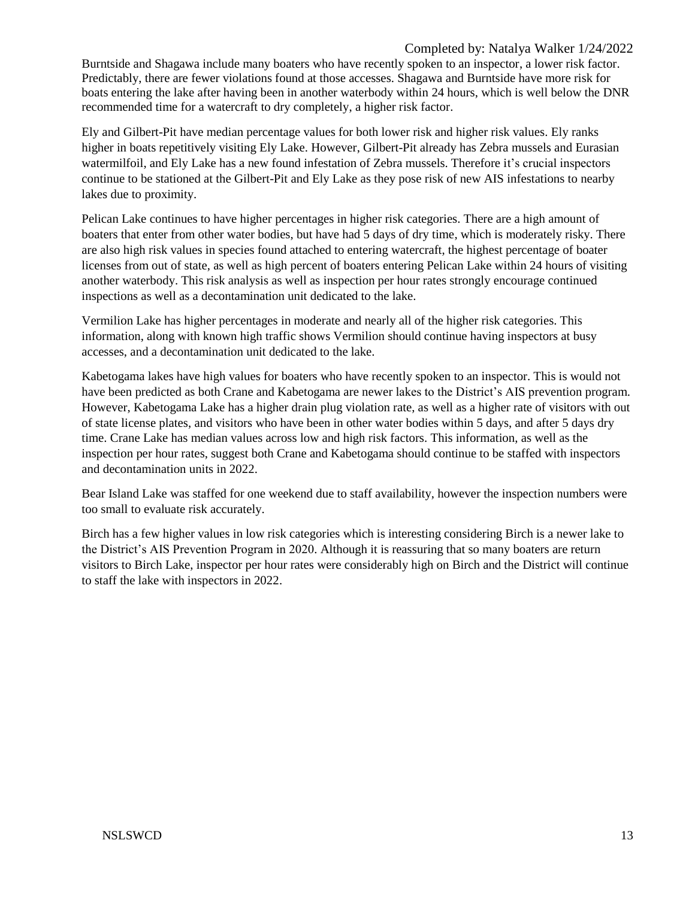Burntside and Shagawa include many boaters who have recently spoken to an inspector, a lower risk factor. Predictably, there are fewer violations found at those accesses. Shagawa and Burntside have more risk for boats entering the lake after having been in another waterbody within 24 hours, which is well below the DNR recommended time for a watercraft to dry completely, a higher risk factor.

Ely and Gilbert-Pit have median percentage values for both lower risk and higher risk values. Ely ranks higher in boats repetitively visiting Ely Lake. However, Gilbert-Pit already has Zebra mussels and Eurasian watermilfoil, and Ely Lake has a new found infestation of Zebra mussels. Therefore it's crucial inspectors continue to be stationed at the Gilbert-Pit and Ely Lake as they pose risk of new AIS infestations to nearby lakes due to proximity.

Pelican Lake continues to have higher percentages in higher risk categories. There are a high amount of boaters that enter from other water bodies, but have had 5 days of dry time, which is moderately risky. There are also high risk values in species found attached to entering watercraft, the highest percentage of boater licenses from out of state, as well as high percent of boaters entering Pelican Lake within 24 hours of visiting another waterbody. This risk analysis as well as inspection per hour rates strongly encourage continued inspections as well as a decontamination unit dedicated to the lake.

Vermilion Lake has higher percentages in moderate and nearly all of the higher risk categories. This information, along with known high traffic shows Vermilion should continue having inspectors at busy accesses, and a decontamination unit dedicated to the lake.

Kabetogama lakes have high values for boaters who have recently spoken to an inspector. This is would not have been predicted as both Crane and Kabetogama are newer lakes to the District's AIS prevention program. However, Kabetogama Lake has a higher drain plug violation rate, as well as a higher rate of visitors with out of state license plates, and visitors who have been in other water bodies within 5 days, and after 5 days dry time. Crane Lake has median values across low and high risk factors. This information, as well as the inspection per hour rates, suggest both Crane and Kabetogama should continue to be staffed with inspectors and decontamination units in 2022.

Bear Island Lake was staffed for one weekend due to staff availability, however the inspection numbers were too small to evaluate risk accurately.

Birch has a few higher values in low risk categories which is interesting considering Birch is a newer lake to the District's AIS Prevention Program in 2020. Although it is reassuring that so many boaters are return visitors to Birch Lake, inspector per hour rates were considerably high on Birch and the District will continue to staff the lake with inspectors in 2022.